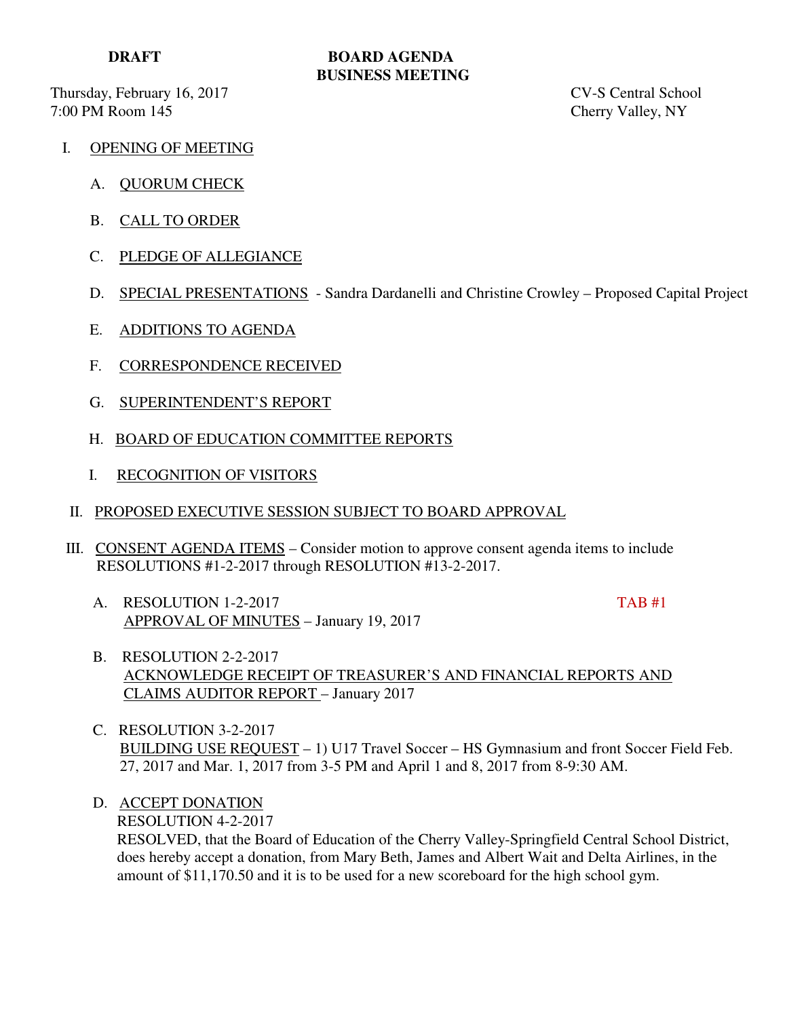Thursday, February 16, 2017 CV-S Central School 7:00 PM Room 145 Cherry Valley, NY

# **DRAFT BOARD AGENDA BUSINESS MEETING**

- I. OPENING OF MEETING
	- A. QUORUM CHECK
	- B. CALL TO ORDER
	- C. PLEDGE OF ALLEGIANCE
	- D. SPECIAL PRESENTATIONS Sandra Dardanelli and Christine Crowley Proposed Capital Project
	- E. ADDITIONS TO AGENDA
	- F. CORRESPONDENCE RECEIVED
	- G. SUPERINTENDENT'S REPORT
	- H. BOARD OF EDUCATION COMMITTEE REPORTS
	- I. RECOGNITION OF VISITORS
- II. PROPOSED EXECUTIVE SESSION SUBJECT TO BOARD APPROVAL
- III. CONSENT AGENDA ITEMS Consider motion to approve consent agenda items to include RESOLUTIONS #1-2-2017 through RESOLUTION #13-2-2017.
	- A. RESOLUTION 1-2-2017 TAB #1 APPROVAL OF MINUTES – January 19, 2017

- B. RESOLUTION 2-2-2017 ACKNOWLEDGE RECEIPT OF TREASURER'S AND FINANCIAL REPORTS AND CLAIMS AUDITOR REPORT – January 2017
- C. RESOLUTION 3-2-2017 BUILDING USE REQUEST – 1) U17 Travel Soccer – HS Gymnasium and front Soccer Field Feb. 27, 2017 and Mar. 1, 2017 from 3-5 PM and April 1 and 8, 2017 from 8-9:30 AM.
- D. ACCEPT DONATION RESOLUTION 4-2-2017 RESOLVED, that the Board of Education of the Cherry Valley-Springfield Central School District, does hereby accept a donation, from Mary Beth, James and Albert Wait and Delta Airlines, in the amount of \$11,170.50 and it is to be used for a new scoreboard for the high school gym.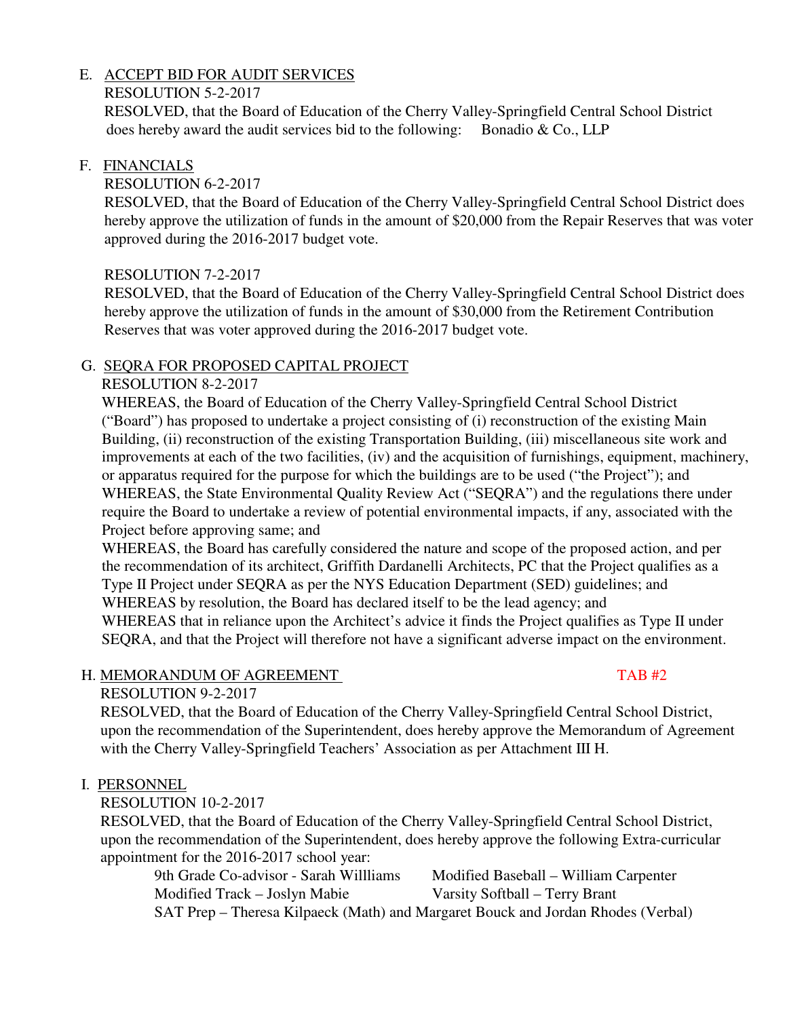# E. ACCEPT BID FOR AUDIT SERVICES

# RESOLUTION 5-2-2017

 RESOLVED, that the Board of Education of the Cherry Valley-Springfield Central School District does hereby award the audit services bid to the following: Bonadio  $\&$  Co., LLP

#### F. FINANCIALS

### RESOLUTION 6-2-2017

 RESOLVED, that the Board of Education of the Cherry Valley-Springfield Central School District does hereby approve the utilization of funds in the amount of \$20,000 from the Repair Reserves that was voter approved during the 2016-2017 budget vote.

# RESOLUTION 7-2-2017

 RESOLVED, that the Board of Education of the Cherry Valley-Springfield Central School District does hereby approve the utilization of funds in the amount of \$30,000 from the Retirement Contribution Reserves that was voter approved during the 2016-2017 budget vote.

#### G. SEQRA FOR PROPOSED CAPITAL PROJECT

#### RESOLUTION 8-2-2017

 WHEREAS, the Board of Education of the Cherry Valley-Springfield Central School District ("Board") has proposed to undertake a project consisting of (i) reconstruction of the existing Main Building, (ii) reconstruction of the existing Transportation Building, (iii) miscellaneous site work and improvements at each of the two facilities, (iv) and the acquisition of furnishings, equipment, machinery, or apparatus required for the purpose for which the buildings are to be used ("the Project"); and WHEREAS, the State Environmental Quality Review Act ("SEQRA") and the regulations there under require the Board to undertake a review of potential environmental impacts, if any, associated with the Project before approving same; and

 WHEREAS, the Board has carefully considered the nature and scope of the proposed action, and per the recommendation of its architect, Griffith Dardanelli Architects, PC that the Project qualifies as a Type II Project under SEQRA as per the NYS Education Department (SED) guidelines; and WHEREAS by resolution, the Board has declared itself to be the lead agency; and WHEREAS that in reliance upon the Architect's advice it finds the Project qualifies as Type II under SEQRA, and that the Project will therefore not have a significant adverse impact on the environment.

# H. MEMORANDUM OF AGREEMENT TAB #2

# RESOLUTION 9-2-2017

 RESOLVED, that the Board of Education of the Cherry Valley-Springfield Central School District, upon the recommendation of the Superintendent, does hereby approve the Memorandum of Agreement with the Cherry Valley-Springfield Teachers' Association as per Attachment III H.

# I. PERSONNEL

# RESOLUTION 10-2-2017

 RESOLVED, that the Board of Education of the Cherry Valley-Springfield Central School District, upon the recommendation of the Superintendent, does hereby approve the following Extra-curricular appointment for the 2016-2017 school year:

 9th Grade Co-advisor - Sarah Willliams Modified Baseball – William Carpenter Modified Track – Joslyn Mabie Varsity Softball – Terry Brant SAT Prep – Theresa Kilpaeck (Math) and Margaret Bouck and Jordan Rhodes (Verbal)